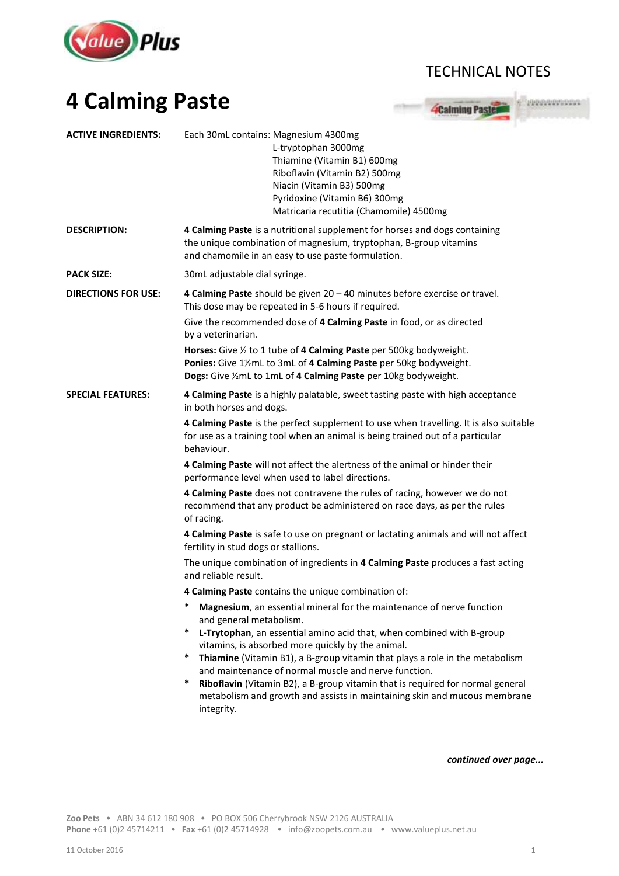

## TECHNICAL NOTES

## **4 Calming Paste**



| <b>ACTIVE INGREDIENTS:</b> | Each 30mL contains: Magnesium 4300mg<br>L-tryptophan 3000mg<br>Thiamine (Vitamin B1) 600mg<br>Riboflavin (Vitamin B2) 500mg<br>Niacin (Vitamin B3) 500mg<br>Pyridoxine (Vitamin B6) 300mg<br>Matricaria recutitia (Chamomile) 4500mg                                                                                                                                                                                                                                                                                                                                    |
|----------------------------|-------------------------------------------------------------------------------------------------------------------------------------------------------------------------------------------------------------------------------------------------------------------------------------------------------------------------------------------------------------------------------------------------------------------------------------------------------------------------------------------------------------------------------------------------------------------------|
| <b>DESCRIPTION:</b>        | 4 Calming Paste is a nutritional supplement for horses and dogs containing<br>the unique combination of magnesium, tryptophan, B-group vitamins<br>and chamomile in an easy to use paste formulation.                                                                                                                                                                                                                                                                                                                                                                   |
| <b>PACK SIZE:</b>          | 30mL adjustable dial syringe.                                                                                                                                                                                                                                                                                                                                                                                                                                                                                                                                           |
| <b>DIRECTIONS FOR USE:</b> | 4 Calming Paste should be given 20 - 40 minutes before exercise or travel.<br>This dose may be repeated in 5-6 hours if required.<br>Give the recommended dose of 4 Calming Paste in food, or as directed<br>by a veterinarian.                                                                                                                                                                                                                                                                                                                                         |
|                            | Horses: Give 1/2 to 1 tube of 4 Calming Paste per 500kg bodyweight.<br>Ponies: Give 11/2mL to 3mL of 4 Calming Paste per 50kg bodyweight.<br>Dogs: Give 1/2 mL to 1mL of 4 Calming Paste per 10kg bodyweight.                                                                                                                                                                                                                                                                                                                                                           |
| <b>SPECIAL FEATURES:</b>   | 4 Calming Paste is a highly palatable, sweet tasting paste with high acceptance<br>in both horses and dogs.                                                                                                                                                                                                                                                                                                                                                                                                                                                             |
|                            | 4 Calming Paste is the perfect supplement to use when travelling. It is also suitable<br>for use as a training tool when an animal is being trained out of a particular<br>behaviour.                                                                                                                                                                                                                                                                                                                                                                                   |
|                            | 4 Calming Paste will not affect the alertness of the animal or hinder their<br>performance level when used to label directions.                                                                                                                                                                                                                                                                                                                                                                                                                                         |
|                            | 4 Calming Paste does not contravene the rules of racing, however we do not<br>recommend that any product be administered on race days, as per the rules<br>of racing.                                                                                                                                                                                                                                                                                                                                                                                                   |
|                            | 4 Calming Paste is safe to use on pregnant or lactating animals and will not affect<br>fertility in stud dogs or stallions.                                                                                                                                                                                                                                                                                                                                                                                                                                             |
|                            | The unique combination of ingredients in 4 Calming Paste produces a fast acting<br>and reliable result.                                                                                                                                                                                                                                                                                                                                                                                                                                                                 |
|                            | 4 Calming Paste contains the unique combination of:                                                                                                                                                                                                                                                                                                                                                                                                                                                                                                                     |
|                            | *<br>Magnesium, an essential mineral for the maintenance of nerve function<br>and general metabolism.<br>*<br>L-Trytophan, an essential amino acid that, when combined with B-group<br>vitamins, is absorbed more quickly by the animal.<br>*<br>Thiamine (Vitamin B1), a B-group vitamin that plays a role in the metabolism<br>and maintenance of normal muscle and nerve function.<br>*<br>Riboflavin (Vitamin B2), a B-group vitamin that is required for normal general<br>metabolism and growth and assists in maintaining skin and mucous membrane<br>integrity. |

*continued over page...*